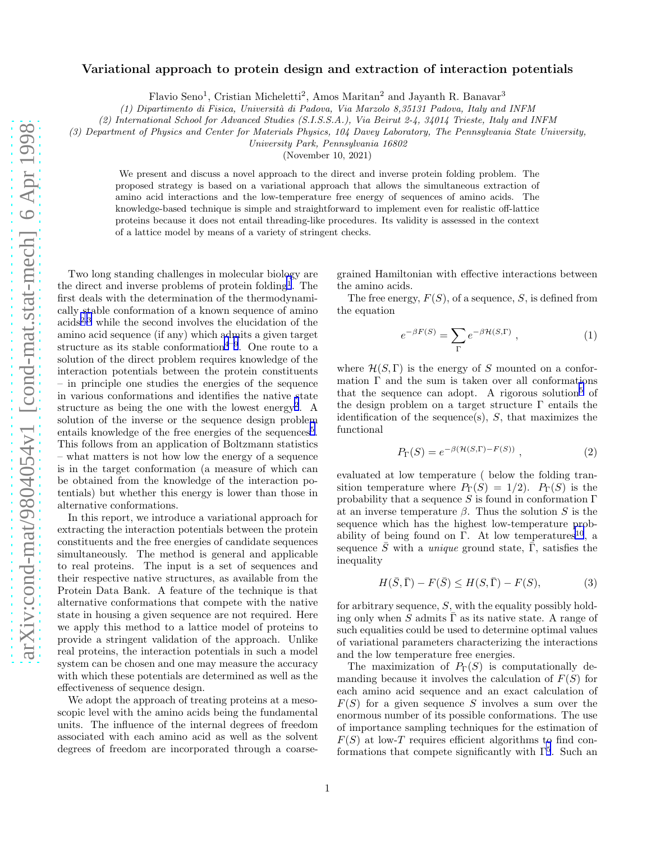## <span id="page-0-0"></span>Variational approach to protein design and extraction of interaction potentials

Flavio Seno<sup>1</sup>, Cristian Micheletti<sup>2</sup>, Amos Maritan<sup>2</sup> and Jayanth R. Banavar<sup>3</sup>

*(1) Dipartimento di Fisica, Universit`a di Padova, Via Marzolo 8,35131 Padova, Italy and INFM*

*(2) International School for Advanced Studies (S.I.S.S.A.), Via Beirut 2-4, 34014 Trieste, Italy and INFM*

*(3) Department of Physics and Center for Materials Physics, 104 Davey Laboratory, The Pennsylvania State University,*

*University Park, Pennsylvania 16802*

(November 10, 2021)

We present and discuss a novel approach to the direct and inverse protein folding problem. The proposed strategy is based on a variational approach that allows the simultaneous extraction of amino acid interactions and the low-temperature free energy of sequences of amino acids. The knowledge-based technique is simple and straightforward to implement even for realistic off-lattice proteins because it does not entail threading-like procedures. Its validity is assessed in the context of a lattice model by means of a variety of stringent checks.

Two long standing challenges in molecular biology are the direct and inverse problems of protein folding<sup>[1](#page-2-0)</sup>. The first deals with the determination of the thermodynamically stable conformation of a known sequence of amino  $acids<sup>2,3</sup>$  $acids<sup>2,3</sup>$  $acids<sup>2,3</sup>$  $acids<sup>2,3</sup>$  $acids<sup>2,3</sup>$  while the second involves the elucidation of the amino acid sequence (if any) which admits a given target structure as its stable conformation<sup> $4-9$  $4-9$  $4-9$ </sup>. One route to a solution of the direct problem requires knowledge of the interaction potentials between the protein constituents – in principle one studies the energies of the sequence in various conformations and identifies the native state structure as being the one with the lowest energy<sup>[2](#page-2-0)</sup>. A solution of the inverse or the sequence design problem entails knowledge of the free energies of the sequences<sup>[5](#page-2-0)</sup>. This follows from an application of Boltzmann statistics – what matters is not how low the energy of a sequence is in the target conformation (a measure of which can be obtained from the knowledge of the interaction potentials) but whether this energy is lower than those in alternative conformations.

In this report, we introduce a variational approach for extracting the interaction potentials between the protein constituents and the free energies of candidate sequences simultaneously. The method is general and applicable to real proteins. The input is a set of sequences and their respective native structures, as available from the Protein Data Bank. A feature of the technique is that alternative conformations that compete with the native state in housing a given sequence are not required. Here we apply this method to a lattice model of proteins to provide a stringent validation of the approach. Unlike real proteins, the interaction potentials in such a model system can be chosen and one may measure the accuracy with which these potentials are determined as well as the effectiveness of sequence design.

We adopt the approach of treating proteins at a mesoscopic level with the amino acids being the fundamental units. The influence of the internal degrees of freedom associated with each amino acid as well as the solvent degrees of freedom are incorporated through a coarse-

grained Hamiltonian with effective interactions between the amino acids.

The free energy,  $F(S)$ , of a sequence, S, is defined from the equation

$$
e^{-\beta F(S)} = \sum_{\Gamma} e^{-\beta \mathcal{H}(S,\Gamma)} , \qquad (1)
$$

where  $\mathcal{H}(S,\Gamma)$  is the energy of S mounted on a conformation  $\Gamma$  and the sum is taken over all conformations that the sequence can adopt. A rigorous solution<sup>[5](#page-2-0)</sup> of the design problem on a target structure  $\Gamma$  entails the identification of the sequence(s),  $S$ , that maximizes the functional

$$
P_{\Gamma}(S) = e^{-\beta(\mathcal{H}(S,\Gamma) - F(S))}, \qquad (2)
$$

evaluated at low temperature ( below the folding transition temperature where  $P_{\Gamma}(S) = 1/2$ .  $P_{\Gamma}(S)$  is the probability that a sequence S is found in conformation  $\Gamma$ at an inverse temperature  $\beta$ . Thus the solution S is the sequence which has the highest low-temperature prob-ability of being found on Γ. At low temperatures<sup>[10](#page-2-0)</sup>, a sequence  $\overline{S}$  with a *unique* ground state,  $\overline{\Gamma}$ , satisfies the inequality

$$
H(\bar{S}, \bar{\Gamma}) - F(\bar{S}) \le H(S, \bar{\Gamma}) - F(S),\tag{3}
$$

for arbitrary sequence,  $S$ , with the equality possibly holding only when S admits  $\Gamma$  as its native state. A range of such equalities could be used to determine optimal values of variational parameters characterizing the interactions and the low temperature free energies.

The maximization of  $P_{\Gamma}(S)$  is computationally demanding because it involves the calculation of  $F(S)$  for each amino acid sequence and an exact calculation of  $F(S)$  for a given sequence S involves a sum over the enormous number of its possible conformations. The use of importance sampling techniques for the estimation of  $F(S)$  at low-T requires efficient algorithms to find conformations that compete significantly with  $\Gamma^5$  $\Gamma^5$ . Such an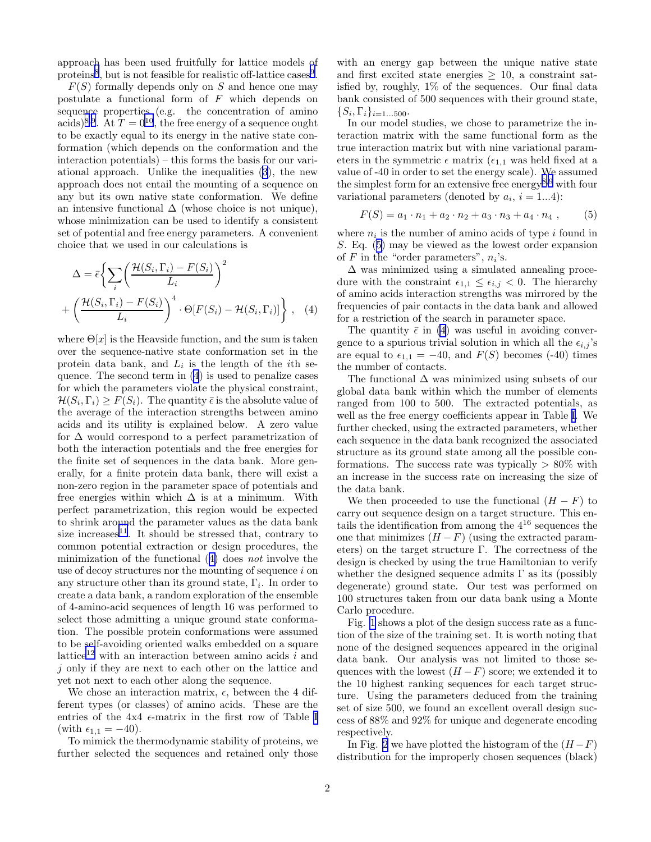<span id="page-1-0"></span>approach has been used fruitfully for lattice models of proteins<sup>[8](#page-2-0)</sup>, but is not feasible for realistic off-lattice cases<sup>[9](#page-2-0)</sup>.

 $F(S)$  formally depends only on S and hence one may postulate a functional form of  $F$  which depends on sequence properties (e.g. the concentration of amino acids)<sup>[8](#page-2-0),[9](#page-2-0)</sup>. At  $T = 0^{10}$  $T = 0^{10}$  $T = 0^{10}$ , the free energy of a sequence ought to be exactly equal to its energy in the native state conformation (which depends on the conformation and the interaction potentials) – this forms the basis for our variational approach. Unlike the inequalities [\(3](#page-0-0)), the new approach does not entail the mounting of a sequence on any but its own native state conformation. We define an intensive functional  $\Delta$  (whose choice is not unique), whose minimization can be used to identify a consistent set of potential and free energy parameters. A convenient choice that we used in our calculations is

$$
\Delta = \bar{\epsilon} \left\{ \sum_{i} \left( \frac{\mathcal{H}(S_i, \Gamma_i) - F(S_i)}{L_i} \right)^2 + \left( \frac{\mathcal{H}(S_i, \Gamma_i) - F(S_i)}{L_i} \right)^4 \cdot \Theta[F(S_i) - \mathcal{H}(S_i, \Gamma_i)] \right\}, \quad (4)
$$

where  $\Theta[x]$  is the Heavside function, and the sum is taken over the sequence-native state conformation set in the protein data bank, and  $L_i$  is the length of the *i*<sup>th</sup> sequence. The second term in (4) is used to penalize cases for which the parameters violate the physical constraint,  $\mathcal{H}(S_i,\Gamma_i)\geq F(S_i).$  The quantity  $\bar{\epsilon}$  is the absolute value of the average of the interaction strengths between amino acids and its utility is explained below. A zero value for  $\Delta$  would correspond to a perfect parametrization of both the interaction potentials and the free energies for the finite set of sequences in the data bank. More generally, for a finite protein data bank, there will exist a non-zero region in the parameter space of potentials and free energies within which  $\Delta$  is at a minimum. With perfect parametrization, this region would be expected to shrink around the parameter values as the data bank size increases<sup>[11](#page-2-0)</sup>. It should be stressed that, contrary to common potential extraction or design procedures, the minimization of the functional (4) does not involve the use of decoy structures nor the mounting of sequence  $i$  on any structure other than its ground state,  $\Gamma_i$ . In order to create a data bank, a random exploration of the ensemble of 4-amino-acid sequences of length 16 was performed to select those admitting a unique ground state conformation. The possible protein conformations were assumed to be self-avoiding oriented walks embedded on a square lattice<sup>[12](#page-2-0)</sup> with an interaction between amino acids  $\overline{i}$  and j only if they are next to each other on the lattice and yet not next to each other along the sequence.

We chose an interaction matrix,  $\epsilon$ , between the 4 different types (or classes) of amino acids. These are the entries of the  $4x4 \epsilon$ -matrix in the first row of Table [I](#page-4-0) (with  $\epsilon_{1,1} = -40$ ).

To mimick the thermodynamic stability of proteins, we further selected the sequences and retained only those

with an energy gap between the unique native state and first excited state energies  $\geq 10$ , a constraint satisfied by, roughly,  $1\%$  of the sequences. Our final data bank consisted of 500 sequences with their ground state,  $\{S_i, \Gamma_i\}_{i=1...500}.$ 

In our model studies, we chose to parametrize the interaction matrix with the same functional form as the true interaction matrix but with nine variational parameters in the symmetric  $\epsilon$  matrix ( $\epsilon_{1,1}$  was held fixed at a value of -40 in order to set the energy scale). We assumed the simplest form for an extensive free energy[8](#page-2-0),[9](#page-2-0) with four variational parameters (denoted by  $a_i$ ,  $i = 1...4$ ):

$$
F(S) = a_1 \cdot n_1 + a_2 \cdot n_2 + a_3 \cdot n_3 + a_4 \cdot n_4 , \qquad (5)
$$

where  $n_i$  is the number of amino acids of type i found in S. Eq. (5) may be viewed as the lowest order expansion of  $F$  in the "order parameters",  $n_i$ 's.

 $\Delta$  was minimized using a simulated annealing procedure with the constraint  $\epsilon_{1,1} \leq \epsilon_{i,j} < 0$ . The hierarchy of amino acids interaction strengths was mirrored by the frequencies of pair contacts in the data bank and allowed for a restriction of the search in parameter space.

The quantity  $\bar{\epsilon}$  in (4) was useful in avoiding convergence to a spurious trivial solution in which all the  $\epsilon_{i,j}$ 's are equal to  $\epsilon_{1,1} = -40$ , and  $F(S)$  becomes (-40) times the number of contacts.

The functional  $\Delta$  was minimized using subsets of our global data bank within which the number of elements ranged from 100 to 500. The extracted potentials, as well as the free energy coefficients appear in Table [I](#page-4-0). We further checked, using the extracted parameters, whether each sequence in the data bank recognized the associated structure as its ground state among all the possible conformations. The success rate was typically  $> 80\%$  with an increase in the success rate on increasing the size of the data bank.

We then proceeded to use the functional  $(H - F)$  to carry out sequence design on a target structure. This entails the identification from among the  $4^{16}$  sequences the one that minimizes  $(H - F)$  (using the extracted parameters) on the target structure  $\Gamma$ . The correctness of the design is checked by using the true Hamiltonian to verify whether the designed sequence admits  $\Gamma$  as its (possibly degenerate) ground state. Our test was performed on 100 structures taken from our data bank using a Monte Carlo procedure.

Fig. [1](#page-3-0) shows a plot of the design success rate as a function of the size of the training set. It is worth noting that none of the designed sequences appeared in the original data bank. Our analysis was not limited to those sequences with the lowest  $(H - F)$  score; we extended it to the 10 highest ranking sequences for each target structure. Using the parameters deduced from the training set of size 500, we found an excellent overall design success of 88% and 92% for unique and degenerate encoding respectively.

In Fig. [2](#page-3-0) we have plotted the histogram of the  $(H-F)$ distribution for the improperly chosen sequences (black)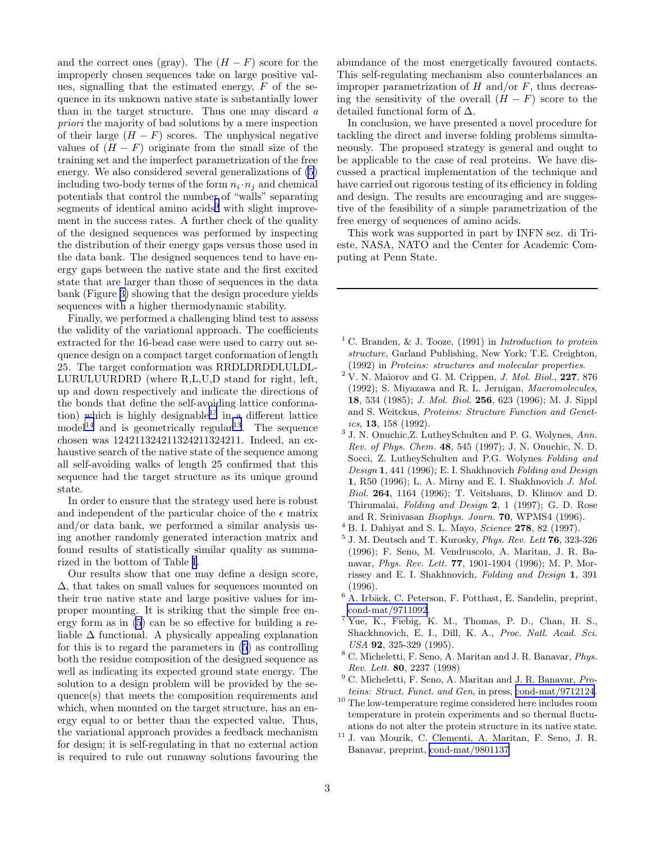<span id="page-2-0"></span>and the correct ones (gray). The  $(H - F)$  score for the improperly chosen sequences take on large positive values, signalling that the estimated energy,  $F$  of the sequence in its unknown native state is substantially lower than in the target structure. Thus one may discard a priori the majority of bad solutions by a mere inspection of their large  $(H - F)$  scores. The unphysical negative values of  $(H - F)$  originate from the small size of the training set and the imperfect parametrization of the free energy. We also considered several generalizations of [\(5](#page-1-0)) including two-body terms of the form  $n_i \cdot n_j$  and chemical potentials that control the number of "walls" separating segments of identical amino  $\alpha$ cids<sup>9</sup> with slight improvement in the success rates. A further check of the quality of the designed sequences was performed by inspecting the distribution of their energy gaps versus those used in the data bank. The designed sequences tend to have energy gaps between the native state and the first excited state that are larger than those of sequences in the data bank (Figure [3\)](#page-3-0) showing that the design procedure yields sequences with a higher thermodynamic stability.

Finally, we performed a challenging blind test to assess the validity of the variational approach. The coefficients extracted for the 16-bead case were used to carry out sequence design on a compact target conformation of length 25. The target conformation was RRDLDRDDLULDL-LURULUURDRD (where R,L,U,D stand for right, left, up and down respectively and indicate the directions of the bonds that define the self-avoiding lattice conforma-tion) which is highly designable<sup>[13](#page-3-0)</sup> in a different lattice  $\text{model}^{14}$  $\text{model}^{14}$  $\text{model}^{14}$  and is geometrically regular<sup>[13](#page-3-0)</sup>. The sequence chosen was 124211324211324211324211. Indeed, an exhaustive search of the native state of the sequence among all self-avoiding walks of length 25 confirmed that this sequence had the target structure as its unique ground state.

In order to ensure that the strategy used here is robust and independent of the particular choice of the  $\epsilon$  matrix and/or data bank, we performed a similar analysis using another randomly generated interaction matrix and found results of statistically similar quality as summarized in the bottom of Table [I.](#page-4-0)

Our results show that one may define a design score, ∆, that takes on small values for sequences mounted on their true native state and large positive values for improper mounting. It is striking that the simple free energy form as in [\(5](#page-1-0)) can be so effective for building a reliable  $\Delta$  functional. A physically appealing explanation for this is to regard the parameters in [\(5](#page-1-0)) as controlling both the residue composition of the designed sequence as well as indicating its expected ground state energy. The solution to a design problem will be provided by the sequence(s) that meets the composition requirements and which, when mounted on the target structure, has an energy equal to or better than the expected value. Thus, the variational approach provides a feedback mechanism for design; it is self-regulating in that no external action is required to rule out runaway solutions favouring the abundance of the most energetically favoured contacts. This self-regulating mechanism also counterbalances an improper parametrization of  $H$  and/or  $F$ , thus decreasing the sensitivity of the overall  $(H - F)$  score to the detailed functional form of ∆.

In conclusion, we have presented a novel procedure for tackling the direct and inverse folding problems simultaneously. The proposed strategy is general and ought to be applicable to the case of real proteins. We have discussed a practical implementation of the technique and have carried out rigorous testing of its efficiency in folding and design. The results are encouraging and are suggestive of the feasibility of a simple parametrization of the free energy of sequences of amino acids.

This work was supported in part by INFN sez. di Trieste, NASA, NATO and the Center for Academic Computing at Penn State.

- <sup>1</sup> C. Branden, & J. Tooze, (1991) in *Introduction to protein structure*, Garland Publishing, New York; T.E. Creighton, (1992) in *Proteins: structures and molecular properties*.
- <sup>2</sup> V. N. Maiorov and G. M. Crippen, *J. Mol. Biol.*, 227, 876 (1992); S. Miyazawa and R. L. Jernigan, *Macromolecules*, 18, 534 (1985); *J. Mol. Biol.* 256, 623 (1996); M. J. Sippl and S. Weitckus, *Proteins: Structure Function and Genetics*, 13, 158 (1992).
- 3 J. N. Onuchic,Z. LutheySchulten and P. G. Wolynes, *Ann. Rev. of Phys. Chem.* 48, 545 (1997); J. N. Onuchic, N. D. Socci, Z. LutheySchulten and P.G. Wolynes *Folding and Design* 1, 441 (1996); E. I. Shakhnovich *Folding and Design* 1, R50 (1996); L. A. Mirny and E. I. Shakhnovich *J. Mol. Biol.* 264, 1164 (1996); T. Veitshans, D. Klimov and D. Thirumalai, *Folding and Design* 2, 1 (1997); G. D. Rose and R. Srinivasan *Biophys. Journ.* 70, WPMS4 (1996).
- <sup>4</sup> B. I. Dahiyat and S. L. Mayo, *Science* 278, 82 (1997).
- 5 J. M. Deutsch and T. Kurosky, *Phys. Rev. Lett* 76, 323-326 (1996); F. Seno, M. Vendruscolo, A. Maritan, J. R. Banavar, *Phys. Rev. Lett.* 77, 1901-1904 (1996); M. P. Morrissey and E. I. Shakhnovich, *Folding and Design* 1, 391 (1996).
- $^6$  A. Irbäck, C. Peterson, F. Potthast, E. Sandelin, preprint, [cond-mat/9711092.](http://arxiv.org/abs/cond-mat/9711092)
- <sup>7</sup> Yue, K., Fiebig, K. M., Thomas, P. D., Chan, H. S., Shackhnovich, E. I., Dill, K. A., *Proc. Natl. Acad. Sci. USA* 92, 325-329 (1995).
- <sup>8</sup> C. Micheletti, F. Seno, A. Maritan and J. R. Banavar, *Phys. Rev. Lett.* 80, 2237 (1998)
- <sup>9</sup> C. Micheletti, F. Seno, A. Maritan and J. R. Banavar, *Proteins: Struct. Funct. and Gen*, in press, [cond-mat/9712124](http://arxiv.org/abs/cond-mat/9712124).
- $^{\rm 10}$  The low-temperature regime considered here includes room temperature in protein experiments and so thermal fluctuations do not alter the protein structure in its native state.
- <sup>11</sup> J. van Mourik, C. Clementi, A. Maritan, F. Seno, J. R. Banavar, preprint, [cond-mat/9801137](http://arxiv.org/abs/cond-mat/9801137)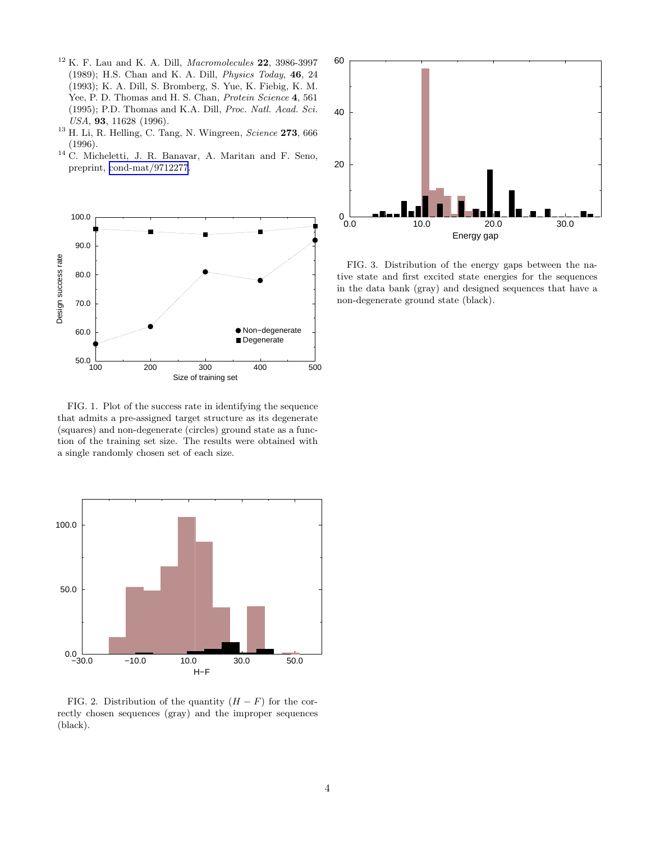- <span id="page-3-0"></span><sup>12</sup> K. F. Lau and K. A. Dill, *Macromolecules* 22, 3986-3997 (1989); H.S. Chan and K. A. Dill, *Physics Today*, 46, 24 (1993); K. A. Dill, S. Bromberg, S. Yue, K. Fiebig, K. M. Yee, P. D. Thomas and H. S. Chan, *Protein Science* 4, 561 (1995); P.D. Thomas and K.A. Dill, *Proc. Natl. Acad. Sci. USA*, 93, 11628 (1996).
- <sup>13</sup> H. Li, R. Helling, C. Tang, N. Wingreen, *Science* 273, 666 (1996).
- <sup>14</sup> C. Micheletti, J. R. Banavar, A. Maritan and F. Seno, preprint, [cond-mat/9712277.](http://arxiv.org/abs/cond-mat/9712277)



FIG. 1. Plot of the success rate in identifying the sequence that admits a pre-assigned target structure as its degenerate (squares) and non-degenerate (circles) ground state as a function of the training set size. The results were obtained with a single randomly chosen set of each size.



FIG. 2. Distribution of the quantity  $(H - F)$  for the correctly chosen sequences (gray) and the improper sequences (black).



FIG. 3. Distribution of the energy gaps between the native state and first excited state energies for the sequences in the data bank (gray) and designed sequences that have a non-degenerate ground state (black).